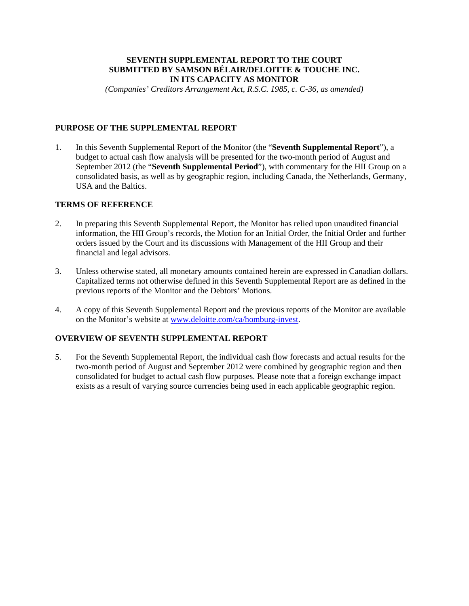# **SEVENTH SUPPLEMENTAL REPORT TO THE COURT SUBMITTED BY SAMSON BÉLAIR/DELOITTE & TOUCHE INC. IN ITS CAPACITY AS MONITOR**

*(Companies' Creditors Arrangement Act, R.S.C. 1985, c. C-36, as amended)* 

# **PURPOSE OF THE SUPPLEMENTAL REPORT**

1. In this Seventh Supplemental Report of the Monitor (the "**Seventh Supplemental Report**"), a budget to actual cash flow analysis will be presented for the two-month period of August and September 2012 (the "**Seventh Supplemental Period**"), with commentary for the HII Group on a consolidated basis, as well as by geographic region, including Canada, the Netherlands, Germany, USA and the Baltics.

# **TERMS OF REFERENCE**

- 2. In preparing this Seventh Supplemental Report, the Monitor has relied upon unaudited financial information, the HII Group's records, the Motion for an Initial Order, the Initial Order and further orders issued by the Court and its discussions with Management of the HII Group and their financial and legal advisors.
- 3. Unless otherwise stated, all monetary amounts contained herein are expressed in Canadian dollars. Capitalized terms not otherwise defined in this Seventh Supplemental Report are as defined in the previous reports of the Monitor and the Debtors' Motions.
- 4. A copy of this Seventh Supplemental Report and the previous reports of the Monitor are available on the Monitor's website at www.deloitte.com/ca/homburg-invest.

# **OVERVIEW OF SEVENTH SUPPLEMENTAL REPORT**

5. For the Seventh Supplemental Report, the individual cash flow forecasts and actual results for the two-month period of August and September 2012 were combined by geographic region and then consolidated for budget to actual cash flow purposes. Please note that a foreign exchange impact exists as a result of varying source currencies being used in each applicable geographic region.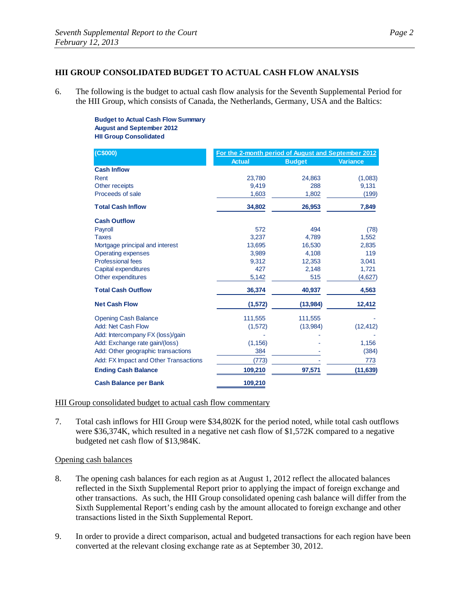# **HII GROUP CONSOLIDATED BUDGET TO ACTUAL CASH FLOW ANALYSIS**

6. The following is the budget to actual cash flow analysis for the Seventh Supplemental Period for the HII Group, which consists of Canada, the Netherlands, Germany, USA and the Baltics:

> **Budget to Actual Cash Flow Summary August and September 2012 HII Group Consolidated**

| (C\$000)                              | For the 2-month period of August and September 2012 |               |           |
|---------------------------------------|-----------------------------------------------------|---------------|-----------|
|                                       | <b>Actual</b>                                       | <b>Budget</b> | Variance  |
| <b>Cash Inflow</b>                    |                                                     |               |           |
| Rent                                  | 23,780                                              | 24,863        | (1,083)   |
| Other receipts                        | 9.419                                               | 288           | 9,131     |
| Proceeds of sale                      | 1,603                                               | 1,802         | (199)     |
| <b>Total Cash Inflow</b>              | 34,802                                              | 26,953        | 7,849     |
| <b>Cash Outflow</b>                   |                                                     |               |           |
| Payroll                               | 572                                                 | 494           | (78)      |
| <b>Taxes</b>                          | 3,237                                               | 4,789         | 1,552     |
| Mortgage principal and interest       | 13,695                                              | 16,530        | 2,835     |
| <b>Operating expenses</b>             | 3,989                                               | 4,108         | 119       |
| <b>Professional fees</b>              | 9,312                                               | 12,353        | 3,041     |
| Capital expenditures                  | 427                                                 | 2,148         | 1,721     |
| Other expenditures                    | 5,142                                               | 515           | (4,627)   |
| <b>Total Cash Outflow</b>             | 36,374                                              | 40,937        | 4,563     |
| <b>Net Cash Flow</b>                  | (1, 572)                                            | (13,984)      | 12,412    |
| <b>Opening Cash Balance</b>           | 111,555                                             | 111,555       |           |
| <b>Add: Net Cash Flow</b>             | (1,572)                                             | (13,984)      | (12, 412) |
| Add: Intercompany FX (loss)/gain      |                                                     |               |           |
| Add: Exchange rate gain/(loss)        | (1, 156)                                            |               | 1,156     |
| Add: Other geographic transactions    | 384                                                 |               | (384)     |
| Add: FX Impact and Other Transactions | (773)                                               |               | 773       |
| <b>Ending Cash Balance</b>            | 109,210                                             | 97,571        | (11, 639) |
| <b>Cash Balance per Bank</b>          | 109,210                                             |               |           |

#### HII Group consolidated budget to actual cash flow commentary

7. Total cash inflows for HII Group were \$34,802K for the period noted, while total cash outflows were \$36,374K, which resulted in a negative net cash flow of \$1,572K compared to a negative budgeted net cash flow of \$13,984K.

#### Opening cash balances

- 8. The opening cash balances for each region as at August 1, 2012 reflect the allocated balances reflected in the Sixth Supplemental Report prior to applying the impact of foreign exchange and other transactions. As such, the HII Group consolidated opening cash balance will differ from the Sixth Supplemental Report's ending cash by the amount allocated to foreign exchange and other transactions listed in the Sixth Supplemental Report.
- 9. In order to provide a direct comparison, actual and budgeted transactions for each region have been converted at the relevant closing exchange rate as at September 30, 2012.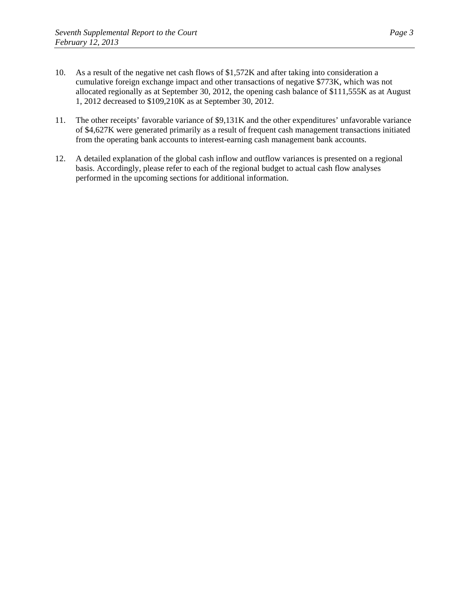- 10. As a result of the negative net cash flows of \$1,572K and after taking into consideration a cumulative foreign exchange impact and other transactions of negative \$773K, which was not allocated regionally as at September 30, 2012, the opening cash balance of \$111,555K as at August 1, 2012 decreased to \$109,210K as at September 30, 2012.
- 11. The other receipts' favorable variance of \$9,131K and the other expenditures' unfavorable variance of \$4,627K were generated primarily as a result of frequent cash management transactions initiated from the operating bank accounts to interest-earning cash management bank accounts.
- 12. A detailed explanation of the global cash inflow and outflow variances is presented on a regional basis. Accordingly, please refer to each of the regional budget to actual cash flow analyses performed in the upcoming sections for additional information.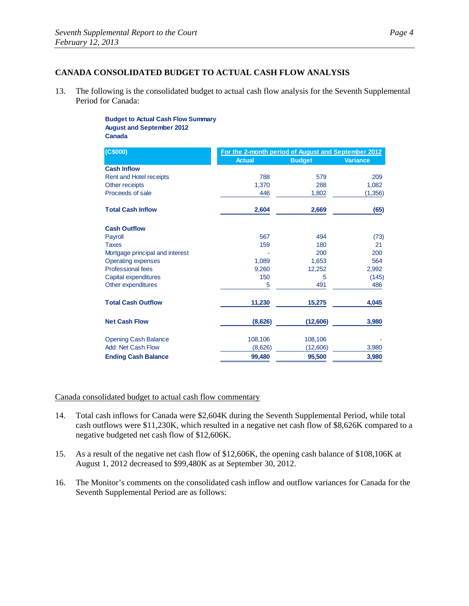## **CANADA CONSOLIDATED BUDGET TO ACTUAL CASH FLOW ANALYSIS**

13. The following is the consolidated budget to actual cash flow analysis for the Seventh Supplemental Period for Canada:

> **Budget to Actual Cash Flow Summary August and September 2012 Canada**

| (C\$000)                        | For the 2-month period of August and September 2012 |               |                 |
|---------------------------------|-----------------------------------------------------|---------------|-----------------|
|                                 | <b>Actual</b>                                       | <b>Budget</b> | <b>Variance</b> |
| <b>Cash Inflow</b>              |                                                     |               |                 |
| <b>Rent and Hotel receipts</b>  | 788                                                 | 579           | 209             |
| Other receipts                  | 1,370                                               | 288           | 1,082           |
| Proceeds of sale                | 446                                                 | 1,802         | (1,356)         |
| <b>Total Cash Inflow</b>        | 2,604                                               | 2,669         | (65)            |
| <b>Cash Outflow</b>             |                                                     |               |                 |
| Payroll                         | 567                                                 | 494           | (73)            |
| <b>Taxes</b>                    | 159                                                 | 180           | 21              |
| Mortgage principal and interest |                                                     | 200           | 200             |
| <b>Operating expenses</b>       | 1,089                                               | 1,653         | 564             |
| <b>Professional fees</b>        | 9,260                                               | 12,252        | 2,992           |
| Capital expenditures            | 150                                                 | 5             | (145)           |
| Other expenditures              | 5                                                   | 491           | 486             |
| <b>Total Cash Outflow</b>       | 11,230                                              | 15,275        | 4,045           |
| <b>Net Cash Flow</b>            | (8,626)                                             | (12,606)      | 3,980           |
| <b>Opening Cash Balance</b>     | 108,106                                             | 108,106       |                 |
| Add: Net Cash Flow              | (8,626)                                             | (12,606)      | 3,980           |
| <b>Ending Cash Balance</b>      | 99,480                                              | 95,500        | 3,980           |

Canada consolidated budget to actual cash flow commentary

- 14. Total cash inflows for Canada were \$2,604K during the Seventh Supplemental Period, while total cash outflows were \$11,230K, which resulted in a negative net cash flow of \$8,626K compared to a negative budgeted net cash flow of \$12,606K.
- 15. As a result of the negative net cash flow of \$12,606K, the opening cash balance of \$108,106K at August 1, 2012 decreased to \$99,480K as at September 30, 2012.
- 16. The Monitor's comments on the consolidated cash inflow and outflow variances for Canada for the Seventh Supplemental Period are as follows: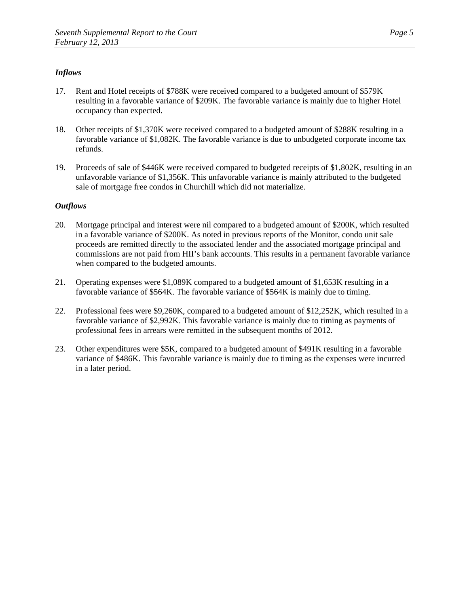- 17. Rent and Hotel receipts of \$788K were received compared to a budgeted amount of \$579K resulting in a favorable variance of \$209K. The favorable variance is mainly due to higher Hotel occupancy than expected.
- 18. Other receipts of \$1,370K were received compared to a budgeted amount of \$288K resulting in a favorable variance of \$1,082K. The favorable variance is due to unbudgeted corporate income tax refunds.
- 19. Proceeds of sale of \$446K were received compared to budgeted receipts of \$1,802K, resulting in an unfavorable variance of \$1,356K. This unfavorable variance is mainly attributed to the budgeted sale of mortgage free condos in Churchill which did not materialize.

- 20. Mortgage principal and interest were nil compared to a budgeted amount of \$200K, which resulted in a favorable variance of \$200K. As noted in previous reports of the Monitor, condo unit sale proceeds are remitted directly to the associated lender and the associated mortgage principal and commissions are not paid from HII's bank accounts. This results in a permanent favorable variance when compared to the budgeted amounts.
- 21. Operating expenses were \$1,089K compared to a budgeted amount of \$1,653K resulting in a favorable variance of \$564K. The favorable variance of \$564K is mainly due to timing.
- 22. Professional fees were \$9,260K, compared to a budgeted amount of \$12,252K, which resulted in a favorable variance of \$2,992K. This favorable variance is mainly due to timing as payments of professional fees in arrears were remitted in the subsequent months of 2012.
- 23. Other expenditures were \$5K, compared to a budgeted amount of \$491K resulting in a favorable variance of \$486K. This favorable variance is mainly due to timing as the expenses were incurred in a later period.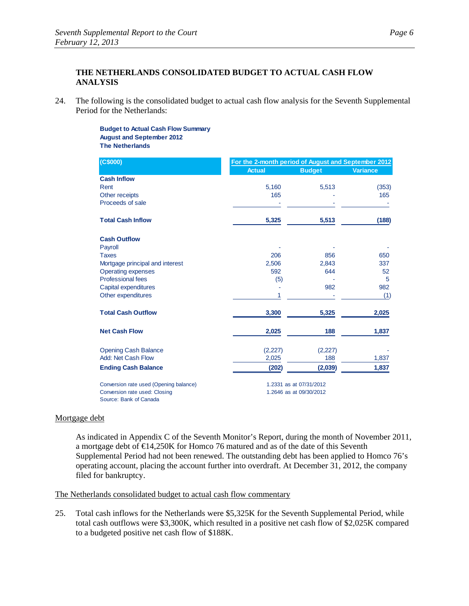# **THE NETHERLANDS CONSOLIDATED BUDGET TO ACTUAL CASH FLOW ANALYSIS**

24. The following is the consolidated budget to actual cash flow analysis for the Seventh Supplemental Period for the Netherlands:

#### **Budget to Actual Cash Flow Summary August and September 2012 The Netherlands**

| (C\$000)                               |               | For the 2-month period of August and September 2012 |                 |  |
|----------------------------------------|---------------|-----------------------------------------------------|-----------------|--|
|                                        | <b>Actual</b> | <b>Budget</b>                                       | <b>Variance</b> |  |
| <b>Cash Inflow</b>                     |               |                                                     |                 |  |
| Rent                                   | 5,160         | 5,513                                               | (353)           |  |
| Other receipts                         | 165           |                                                     | 165             |  |
| Proceeds of sale                       |               |                                                     |                 |  |
| <b>Total Cash Inflow</b>               | 5,325         | 5,513                                               | (188)           |  |
| <b>Cash Outflow</b>                    |               |                                                     |                 |  |
| Payroll                                |               |                                                     |                 |  |
| <b>Taxes</b>                           | 206           | 856                                                 | 650             |  |
| Mortgage principal and interest        | 2,506         | 2,843                                               | 337             |  |
| <b>Operating expenses</b>              | 592           | 644                                                 | 52              |  |
| Professional fees                      | (5)           |                                                     | 5               |  |
| Capital expenditures                   |               | 982                                                 | 982             |  |
| Other expenditures                     | 1             |                                                     | (1)             |  |
| <b>Total Cash Outflow</b>              | 3,300         | 5,325                                               | 2,025           |  |
| <b>Net Cash Flow</b>                   | 2,025         | 188                                                 | 1,837           |  |
| <b>Opening Cash Balance</b>            | (2,227)       | (2,227)                                             |                 |  |
| Add: Net Cash Flow                     | 2,025         | 188                                                 | 1,837           |  |
| <b>Ending Cash Balance</b>             | (202)         | (2,039)                                             | 1,837           |  |
| Conversion rate used (Opening balance) |               | 1.2331 as at 07/31/2012                             |                 |  |
| Conversion rate used: Closing          |               | 1.2646 as at 09/30/2012                             |                 |  |
| Source: Bank of Canada                 |               |                                                     |                 |  |

#### Mortgage debt

As indicated in Appendix C of the Seventh Monitor's Report, during the month of November 2011, a mortgage debt of  $\bigoplus$ 4,250K for Homco 76 matured and as of the date of this Seventh Supplemental Period had not been renewed. The outstanding debt has been applied to Homco 76's operating account, placing the account further into overdraft. At December 31, 2012, the company filed for bankruptcy.

# The Netherlands consolidated budget to actual cash flow commentary

25. Total cash inflows for the Netherlands were \$5,325K for the Seventh Supplemental Period, while total cash outflows were \$3,300K, which resulted in a positive net cash flow of \$2,025K compared to a budgeted positive net cash flow of \$188K.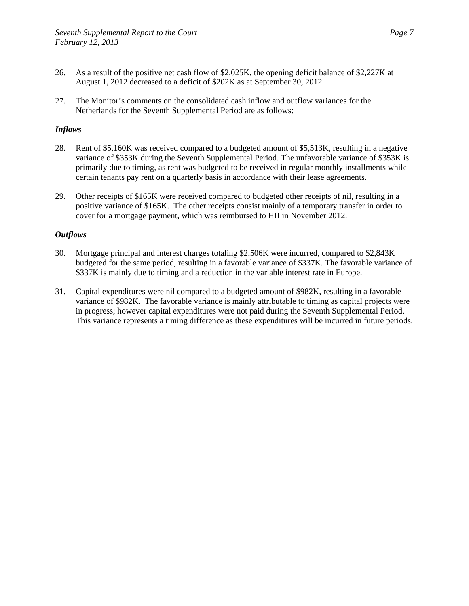- 26. As a result of the positive net cash flow of \$2,025K, the opening deficit balance of \$2,227K at August 1, 2012 decreased to a deficit of \$202K as at September 30, 2012.
- 27. The Monitor's comments on the consolidated cash inflow and outflow variances for the Netherlands for the Seventh Supplemental Period are as follows:

- 28. Rent of \$5,160K was received compared to a budgeted amount of \$5,513K, resulting in a negative variance of \$353K during the Seventh Supplemental Period. The unfavorable variance of \$353K is primarily due to timing, as rent was budgeted to be received in regular monthly installments while certain tenants pay rent on a quarterly basis in accordance with their lease agreements.
- 29. Other receipts of \$165K were received compared to budgeted other receipts of nil, resulting in a positive variance of \$165K. The other receipts consist mainly of a temporary transfer in order to cover for a mortgage payment, which was reimbursed to HII in November 2012.

- 30. Mortgage principal and interest charges totaling \$2,506K were incurred, compared to \$2,843K budgeted for the same period, resulting in a favorable variance of \$337K. The favorable variance of \$337K is mainly due to timing and a reduction in the variable interest rate in Europe.
- 31. Capital expenditures were nil compared to a budgeted amount of \$982K, resulting in a favorable variance of \$982K. The favorable variance is mainly attributable to timing as capital projects were in progress; however capital expenditures were not paid during the Seventh Supplemental Period. This variance represents a timing difference as these expenditures will be incurred in future periods.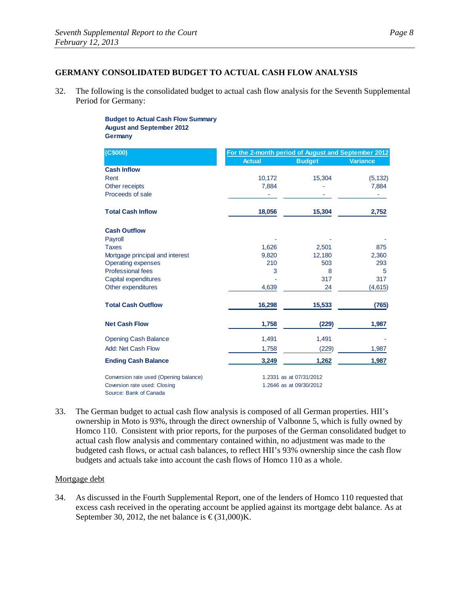## **GERMANY CONSOLIDATED BUDGET TO ACTUAL CASH FLOW ANALYSIS**

32. The following is the consolidated budget to actual cash flow analysis for the Seventh Supplemental Period for Germany:

> **Budget to Actual Cash Flow Summary August and September 2012 Germany**

| (C\$000)                               | For the 2-month period of August and September 2012 |                         |                 |
|----------------------------------------|-----------------------------------------------------|-------------------------|-----------------|
|                                        | <b>Actual</b>                                       | <b>Budget</b>           | <b>Variance</b> |
| <b>Cash Inflow</b>                     |                                                     |                         |                 |
| Rent                                   | 10,172                                              | 15,304                  | (5, 132)        |
| Other receipts                         | 7,884                                               |                         | 7,884           |
| Proceeds of sale                       |                                                     |                         |                 |
| <b>Total Cash Inflow</b>               | 18,056                                              | 15,304                  | 2,752           |
| <b>Cash Outflow</b>                    |                                                     |                         |                 |
| Payroll                                |                                                     |                         |                 |
| <b>Taxes</b>                           | 1,626                                               | 2,501                   | 875             |
| Mortgage principal and interest        | 9,820                                               | 12,180                  | 2,360           |
| <b>Operating expenses</b>              | 210                                                 | 503                     | 293             |
| <b>Professional fees</b>               | 3                                                   | 8                       | 5               |
| Capital expenditures                   |                                                     | 317                     | 317             |
| Other expenditures                     | 4,639                                               | 24                      | (4,615)         |
| <b>Total Cash Outflow</b>              | 16,298                                              | 15,533                  | (765)           |
| <b>Net Cash Flow</b>                   | 1,758                                               | (229)                   | 1,987           |
| <b>Opening Cash Balance</b>            | 1,491                                               | 1,491                   |                 |
| <b>Add: Net Cash Flow</b>              | 1,758                                               | (229)                   | 1,987           |
| <b>Ending Cash Balance</b>             | 3,249                                               | 1,262                   | 1,987           |
| Conversion rate used (Opening balance) |                                                     | 1.2331 as at 07/31/2012 |                 |
| Coversion rate used: Closing           |                                                     | 1.2646 as at 09/30/2012 |                 |
| Source: Bank of Canada                 |                                                     |                         |                 |

33. The German budget to actual cash flow analysis is composed of all German properties. HII's ownership in Moto is 93%, through the direct ownership of Valbonne 5, which is fully owned by Homco 110. Consistent with prior reports, for the purposes of the German consolidated budget to actual cash flow analysis and commentary contained within, no adjustment was made to the budgeted cash flows, or actual cash balances, to reflect HII's 93% ownership since the cash flow budgets and actuals take into account the cash flows of Homco 110 as a whole.

#### Mortgage debt

34. As discussed in the Fourth Supplemental Report, one of the lenders of Homco 110 requested that excess cash received in the operating account be applied against its mortgage debt balance. As at September 30, 2012, the net balance is  $\epsilon$  (31,000)K.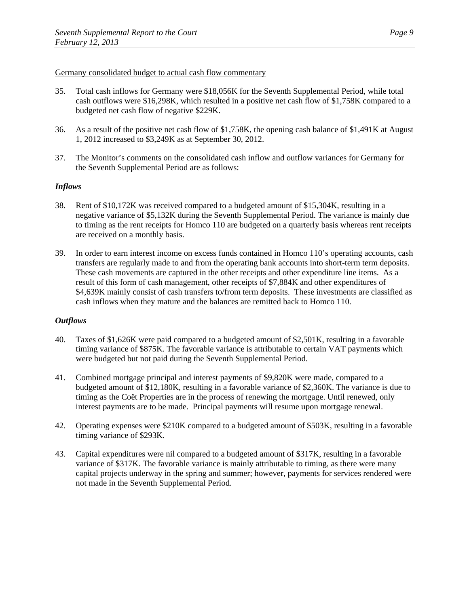#### Germany consolidated budget to actual cash flow commentary

- 35. Total cash inflows for Germany were \$18,056K for the Seventh Supplemental Period, while total cash outflows were \$16,298K, which resulted in a positive net cash flow of \$1,758K compared to a budgeted net cash flow of negative \$229K.
- 36. As a result of the positive net cash flow of \$1,758K, the opening cash balance of \$1,491K at August 1, 2012 increased to \$3,249K as at September 30, 2012.
- 37. The Monitor's comments on the consolidated cash inflow and outflow variances for Germany for the Seventh Supplemental Period are as follows:

# *Inflows*

- 38. Rent of \$10,172K was received compared to a budgeted amount of \$15,304K, resulting in a negative variance of \$5,132K during the Seventh Supplemental Period. The variance is mainly due to timing as the rent receipts for Homco 110 are budgeted on a quarterly basis whereas rent receipts are received on a monthly basis.
- 39. In order to earn interest income on excess funds contained in Homco 110's operating accounts, cash transfers are regularly made to and from the operating bank accounts into short-term term deposits. These cash movements are captured in the other receipts and other expenditure line items. As a result of this form of cash management, other receipts of \$7,884K and other expenditures of \$4,639K mainly consist of cash transfers to/from term deposits. These investments are classified as cash inflows when they mature and the balances are remitted back to Homco 110.

- 40. Taxes of \$1,626K were paid compared to a budgeted amount of \$2,501K, resulting in a favorable timing variance of \$875K. The favorable variance is attributable to certain VAT payments which were budgeted but not paid during the Seventh Supplemental Period.
- 41. Combined mortgage principal and interest payments of \$9,820K were made, compared to a budgeted amount of \$12,180K, resulting in a favorable variance of \$2,360K. The variance is due to timing as the Coët Properties are in the process of renewing the mortgage. Until renewed, only interest payments are to be made. Principal payments will resume upon mortgage renewal.
- 42. Operating expenses were \$210K compared to a budgeted amount of \$503K, resulting in a favorable timing variance of \$293K.
- 43. Capital expenditures were nil compared to a budgeted amount of \$317K, resulting in a favorable variance of \$317K. The favorable variance is mainly attributable to timing, as there were many capital projects underway in the spring and summer; however, payments for services rendered were not made in the Seventh Supplemental Period.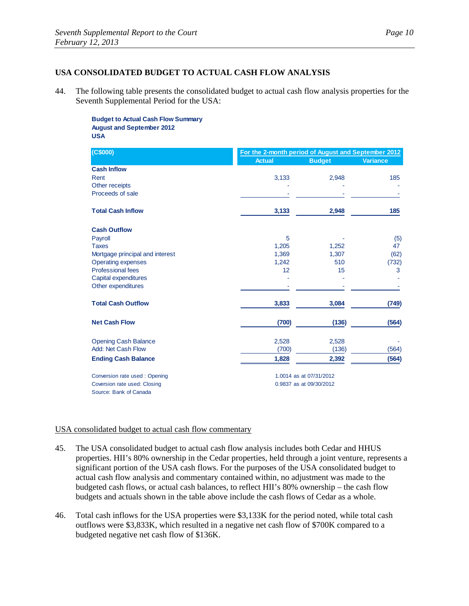# **USA CONSOLIDATED BUDGET TO ACTUAL CASH FLOW ANALYSIS**

44. The following table presents the consolidated budget to actual cash flow analysis properties for the Seventh Supplemental Period for the USA:

**Budget to Actual Cash Flow Summary August and September 2012 USA**

| (C\$000)                        | For the 2-month period of August and September 2012 |                         |                 |
|---------------------------------|-----------------------------------------------------|-------------------------|-----------------|
|                                 | <b>Actual</b>                                       | <b>Budget</b>           | <b>Variance</b> |
| <b>Cash Inflow</b>              |                                                     |                         |                 |
| Rent                            | 3,133                                               | 2,948                   | 185             |
| Other receipts                  |                                                     |                         |                 |
| Proceeds of sale                |                                                     |                         |                 |
| <b>Total Cash Inflow</b>        | 3,133                                               | 2,948                   | 185             |
| <b>Cash Outflow</b>             |                                                     |                         |                 |
| Payroll                         | 5                                                   |                         | (5)             |
| <b>Taxes</b>                    | 1,205                                               | 1,252                   | 47              |
| Mortgage principal and interest | 1.369                                               | 1,307                   | (62)            |
| <b>Operating expenses</b>       | 1,242                                               | 510                     | (732)           |
| <b>Professional fees</b>        | 12                                                  | 15                      | 3               |
| Capital expenditures            |                                                     |                         |                 |
| Other expenditures              |                                                     |                         |                 |
| <b>Total Cash Outflow</b>       | 3,833                                               | 3,084                   | (749)           |
| <b>Net Cash Flow</b>            | (700)                                               | (136)                   | (564)           |
| <b>Opening Cash Balance</b>     | 2,528                                               | 2,528                   |                 |
| Add: Net Cash Flow              | (700)                                               | (136)                   | (564)           |
| <b>Ending Cash Balance</b>      | 1,828                                               | 2,392                   | (564)           |
| Conversion rate used: Opening   |                                                     | 1.0014 as at 07/31/2012 |                 |
| Coversion rate used: Closing    |                                                     | 0.9837 as at 09/30/2012 |                 |
| Source: Bank of Canada          |                                                     |                         |                 |

#### USA consolidated budget to actual cash flow commentary

- 45. The USA consolidated budget to actual cash flow analysis includes both Cedar and HHUS properties. HII's 80% ownership in the Cedar properties, held through a joint venture, represents a significant portion of the USA cash flows. For the purposes of the USA consolidated budget to actual cash flow analysis and commentary contained within, no adjustment was made to the budgeted cash flows, or actual cash balances, to reflect HII's 80% ownership – the cash flow budgets and actuals shown in the table above include the cash flows of Cedar as a whole.
- 46. Total cash inflows for the USA properties were \$3,133K for the period noted, while total cash outflows were \$3,833K, which resulted in a negative net cash flow of \$700K compared to a budgeted negative net cash flow of \$136K.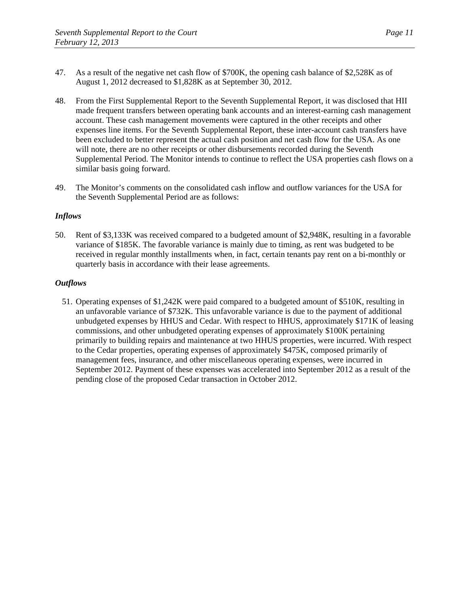- 47. As a result of the negative net cash flow of \$700K, the opening cash balance of \$2,528K as of August 1, 2012 decreased to \$1,828K as at September 30, 2012.
- 48. From the First Supplemental Report to the Seventh Supplemental Report, it was disclosed that HII made frequent transfers between operating bank accounts and an interest-earning cash management account. These cash management movements were captured in the other receipts and other expenses line items. For the Seventh Supplemental Report, these inter-account cash transfers have been excluded to better represent the actual cash position and net cash flow for the USA. As one will note, there are no other receipts or other disbursements recorded during the Seventh Supplemental Period. The Monitor intends to continue to reflect the USA properties cash flows on a similar basis going forward.
- 49. The Monitor's comments on the consolidated cash inflow and outflow variances for the USA for the Seventh Supplemental Period are as follows:

50. Rent of \$3,133K was received compared to a budgeted amount of \$2,948K, resulting in a favorable variance of \$185K. The favorable variance is mainly due to timing, as rent was budgeted to be received in regular monthly installments when, in fact, certain tenants pay rent on a bi-monthly or quarterly basis in accordance with their lease agreements.

# *Outflows*

51. Operating expenses of \$1,242K were paid compared to a budgeted amount of \$510K, resulting in an unfavorable variance of \$732K. This unfavorable variance is due to the payment of additional unbudgeted expenses by HHUS and Cedar. With respect to HHUS, approximately \$171K of leasing commissions, and other unbudgeted operating expenses of approximately \$100K pertaining primarily to building repairs and maintenance at two HHUS properties, were incurred. With respect to the Cedar properties, operating expenses of approximately \$475K, composed primarily of management fees, insurance, and other miscellaneous operating expenses, were incurred in September 2012. Payment of these expenses was accelerated into September 2012 as a result of the pending close of the proposed Cedar transaction in October 2012.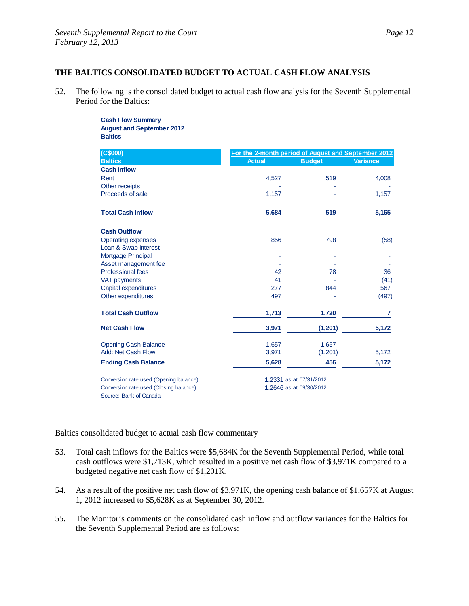# **THE BALTICS CONSOLIDATED BUDGET TO ACTUAL CASH FLOW ANALYSIS**

52. The following is the consolidated budget to actual cash flow analysis for the Seventh Supplemental Period for the Baltics:

> **Cash Flow Summary August and September 2012 Baltics**

| (C\$000)                               |               | For the 2-month period of August and September 2012 |          |  |
|----------------------------------------|---------------|-----------------------------------------------------|----------|--|
| <b>Baltics</b>                         | <b>Actual</b> | <b>Budget</b>                                       | Variance |  |
| <b>Cash Inflow</b>                     |               |                                                     |          |  |
| Rent                                   | 4,527         | 519                                                 | 4,008    |  |
| Other receipts                         |               |                                                     |          |  |
| Proceeds of sale                       | 1,157         |                                                     | 1,157    |  |
| <b>Total Cash Inflow</b>               | 5,684         | 519                                                 | 5,165    |  |
| <b>Cash Outflow</b>                    |               |                                                     |          |  |
| <b>Operating expenses</b>              | 856           | 798                                                 | (58)     |  |
| Loan & Swap Interest                   |               |                                                     |          |  |
| Mortgage Principal                     |               |                                                     |          |  |
| Asset management fee                   |               |                                                     |          |  |
| <b>Professional fees</b>               | 42            | 78                                                  | 36       |  |
| VAT payments                           | 41            |                                                     | (41)     |  |
| Capital expenditures                   | 277           | 844                                                 | 567      |  |
| Other expenditures                     | 497           |                                                     | (497)    |  |
| <b>Total Cash Outflow</b>              | 1,713         | 1,720                                               | 7        |  |
| <b>Net Cash Flow</b>                   | 3,971         | (1, 201)                                            | 5,172    |  |
| <b>Opening Cash Balance</b>            | 1,657         | 1,657                                               |          |  |
| Add: Net Cash Flow                     | 3,971         | (1,201)                                             | 5,172    |  |
| <b>Ending Cash Balance</b>             | 5,628         | 456                                                 | 5,172    |  |
| Conversion rate used (Opening balance) |               | 1.2331 as at 07/31/2012                             |          |  |
| Conversion rate used (Closing balance) |               | 1.2646 as at 09/30/2012                             |          |  |
| Source: Bank of Canada                 |               |                                                     |          |  |

#### Baltics consolidated budget to actual cash flow commentary

- 53. Total cash inflows for the Baltics were \$5,684K for the Seventh Supplemental Period, while total cash outflows were \$1,713K, which resulted in a positive net cash flow of \$3,971K compared to a budgeted negative net cash flow of \$1,201K.
- 54. As a result of the positive net cash flow of \$3,971K, the opening cash balance of \$1,657K at August 1, 2012 increased to \$5,628K as at September 30, 2012.
- 55. The Monitor's comments on the consolidated cash inflow and outflow variances for the Baltics for the Seventh Supplemental Period are as follows: